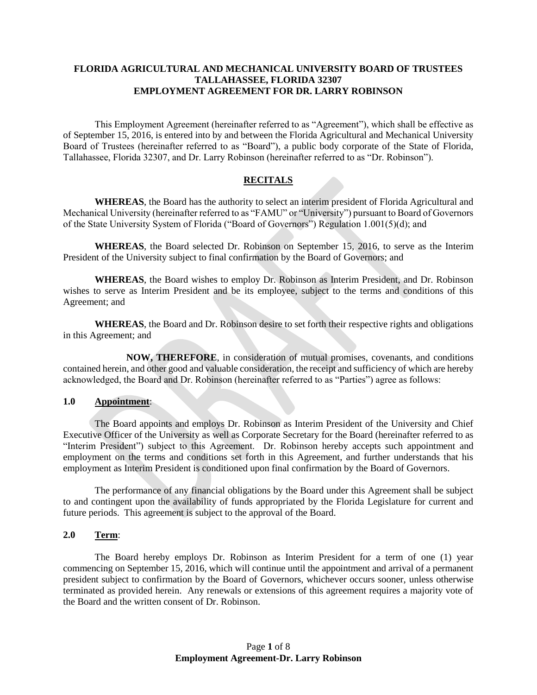## **FLORIDA AGRICULTURAL AND MECHANICAL UNIVERSITY BOARD OF TRUSTEES TALLAHASSEE, FLORIDA 32307 EMPLOYMENT AGREEMENT FOR DR. LARRY ROBINSON**

This Employment Agreement (hereinafter referred to as "Agreement"), which shall be effective as of September 15, 2016, is entered into by and between the Florida Agricultural and Mechanical University Board of Trustees (hereinafter referred to as "Board"), a public body corporate of the State of Florida, Tallahassee, Florida 32307, and Dr. Larry Robinson (hereinafter referred to as "Dr. Robinson").

## **RECITALS**

**WHEREAS**, the Board has the authority to select an interim president of Florida Agricultural and Mechanical University (hereinafter referred to as "FAMU" or "University") pursuant to Board of Governors of the State University System of Florida ("Board of Governors") Regulation 1.001(5)(d); and

**WHEREAS**, the Board selected Dr. Robinson on September 15, 2016, to serve as the Interim President of the University subject to final confirmation by the Board of Governors; and

**WHEREAS**, the Board wishes to employ Dr. Robinson as Interim President, and Dr. Robinson wishes to serve as Interim President and be its employee, subject to the terms and conditions of this Agreement; and

**WHEREAS**, the Board and Dr. Robinson desire to set forth their respective rights and obligations in this Agreement; and

**NOW, THEREFORE**, in consideration of mutual promises, covenants, and conditions contained herein, and other good and valuable consideration, the receipt and sufficiency of which are hereby acknowledged, the Board and Dr. Robinson (hereinafter referred to as "Parties") agree as follows:

## **1.0 Appointment**:

The Board appoints and employs Dr. Robinson as Interim President of the University and Chief Executive Officer of the University as well as Corporate Secretary for the Board (hereinafter referred to as "Interim President") subject to this Agreement. Dr. Robinson hereby accepts such appointment and employment on the terms and conditions set forth in this Agreement, and further understands that his employment as Interim President is conditioned upon final confirmation by the Board of Governors.

The performance of any financial obligations by the Board under this Agreement shall be subject to and contingent upon the availability of funds appropriated by the Florida Legislature for current and future periods. This agreement is subject to the approval of the Board.

# **2.0 Term**:

The Board hereby employs Dr. Robinson as Interim President for a term of one (1) year commencing on September 15, 2016, which will continue until the appointment and arrival of a permanent president subject to confirmation by the Board of Governors, whichever occurs sooner, unless otherwise terminated as provided herein. Any renewals or extensions of this agreement requires a majority vote of the Board and the written consent of Dr. Robinson.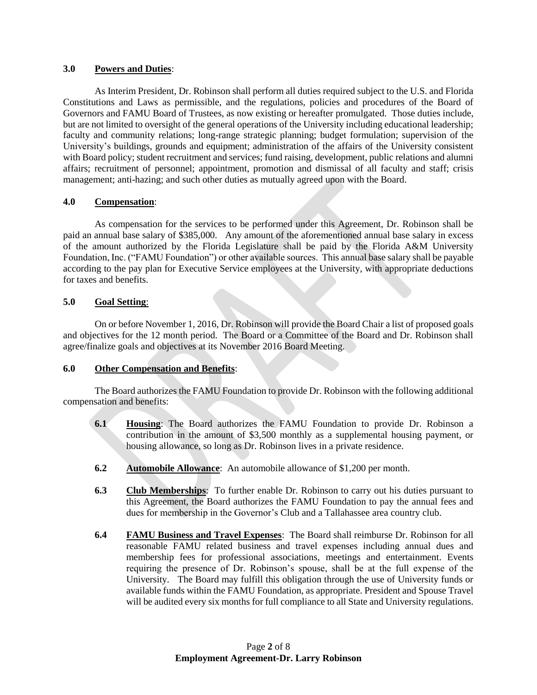## **3.0 Powers and Duties**:

As Interim President, Dr. Robinson shall perform all duties required subject to the U.S. and Florida Constitutions and Laws as permissible, and the regulations, policies and procedures of the Board of Governors and FAMU Board of Trustees, as now existing or hereafter promulgated. Those duties include, but are not limited to oversight of the general operations of the University including educational leadership; faculty and community relations; long-range strategic planning; budget formulation; supervision of the University's buildings, grounds and equipment; administration of the affairs of the University consistent with Board policy; student recruitment and services; fund raising, development, public relations and alumni affairs; recruitment of personnel; appointment, promotion and dismissal of all faculty and staff; crisis management; anti-hazing; and such other duties as mutually agreed upon with the Board.

## **4.0 Compensation**:

As compensation for the services to be performed under this Agreement, Dr. Robinson shall be paid an annual base salary of \$385,000. Any amount of the aforementioned annual base salary in excess of the amount authorized by the Florida Legislature shall be paid by the Florida A&M University Foundation, Inc. ("FAMU Foundation") or other available sources. This annual base salary shall be payable according to the pay plan for Executive Service employees at the University, with appropriate deductions for taxes and benefits.

# **5.0 Goal Setting**:

On or before November 1, 2016, Dr. Robinson will provide the Board Chair a list of proposed goals and objectives for the 12 month period. The Board or a Committee of the Board and Dr. Robinson shall agree/finalize goals and objectives at its November 2016 Board Meeting.

# **6.0 Other Compensation and Benefits**:

The Board authorizes the FAMU Foundation to provide Dr. Robinson with the following additional compensation and benefits:

- **6.1 Housing**: The Board authorizes the FAMU Foundation to provide Dr. Robinson a contribution in the amount of \$3,500 monthly as a supplemental housing payment, or housing allowance, so long as Dr. Robinson lives in a private residence.
- **6.2 Automobile Allowance**: An automobile allowance of \$1,200 per month.
- **6.3 Club Memberships**: To further enable Dr. Robinson to carry out his duties pursuant to this Agreement, the Board authorizes the FAMU Foundation to pay the annual fees and dues for membership in the Governor's Club and a Tallahassee area country club.
- **6.4 FAMU Business and Travel Expenses**: The Board shall reimburse Dr. Robinson for all reasonable FAMU related business and travel expenses including annual dues and membership fees for professional associations, meetings and entertainment. Events requiring the presence of Dr. Robinson's spouse, shall be at the full expense of the University. The Board may fulfill this obligation through the use of University funds or available funds within the FAMU Foundation, as appropriate. President and Spouse Travel will be audited every six months for full compliance to all State and University regulations.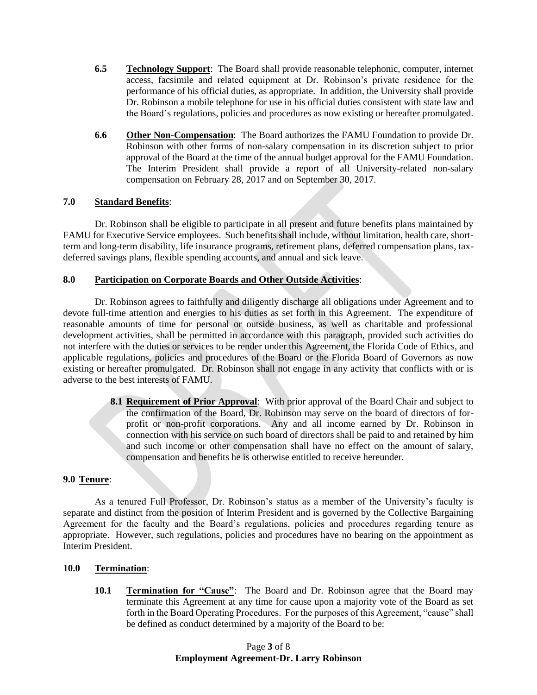- **6.5 Technology Support**: The Board shall provide reasonable telephonic, computer, internet access, facsimile and related equipment at Dr. Robinson's private residence for the performance of his official duties, as appropriate. In addition, the University shall provide Dr. Robinson a mobile telephone for use in his official duties consistent with state law and the Board's regulations, policies and procedures as now existing or hereafter promulgated.
- **6.6 Other Non-Compensation**: The Board authorizes the FAMU Foundation to provide Dr. Robinson with other forms of non-salary compensation in its discretion subject to prior approval of the Board at the time of the annual budget approval for the FAMU Foundation. The Interim President shall provide a report of all University-related non-salary compensation on February 28, 2017 and on September 30, 2017.

## **7.0 Standard Benefits**:

Dr. Robinson shall be eligible to participate in all present and future benefits plans maintained by FAMU for Executive Service employees. Such benefits shall include, without limitation, health care, shortterm and long-term disability, life insurance programs, retirement plans, deferred compensation plans, taxdeferred savings plans, flexible spending accounts, and annual and sick leave.

## **8.0 Participation on Corporate Boards and Other Outside Activities**:

Dr. Robinson agrees to faithfully and diligently discharge all obligations under Agreement and to devote full-time attention and energies to his duties as set forth in this Agreement. The expenditure of reasonable amounts of time for personal or outside business, as well as charitable and professional development activities, shall be permitted in accordance with this paragraph, provided such activities do not interfere with the duties or services to be render under this Agreement, the Florida Code of Ethics, and applicable regulations, policies and procedures of the Board or the Florida Board of Governors as now existing or hereafter promulgated. Dr. Robinson shall not engage in any activity that conflicts with or is adverse to the best interests of FAMU.

> **8.1 Requirement of Prior Approval**: With prior approval of the Board Chair and subject to the confirmation of the Board, Dr. Robinson may serve on the board of directors of forprofit or non-profit corporations. Any and all income earned by Dr. Robinson in connection with his service on such board of directors shall be paid to and retained by him and such income or other compensation shall have no effect on the amount of salary, compensation and benefits he is otherwise entitled to receive hereunder.

# **9.0 Tenure**:

As a tenured Full Professor, Dr. Robinson's status as a member of the University's faculty is separate and distinct from the position of Interim President and is governed by the Collective Bargaining Agreement for the faculty and the Board's regulations, policies and procedures regarding tenure as appropriate. However, such regulations, policies and procedures have no bearing on the appointment as Interim President.

## **10.0 Termination**:

**10.1 Termination for "Cause"**: The Board and Dr. Robinson agree that the Board may terminate this Agreement at any time for cause upon a majority vote of the Board as set forth in the Board Operating Procedures. For the purposes of this Agreement, "cause" shall be defined as conduct determined by a majority of the Board to be: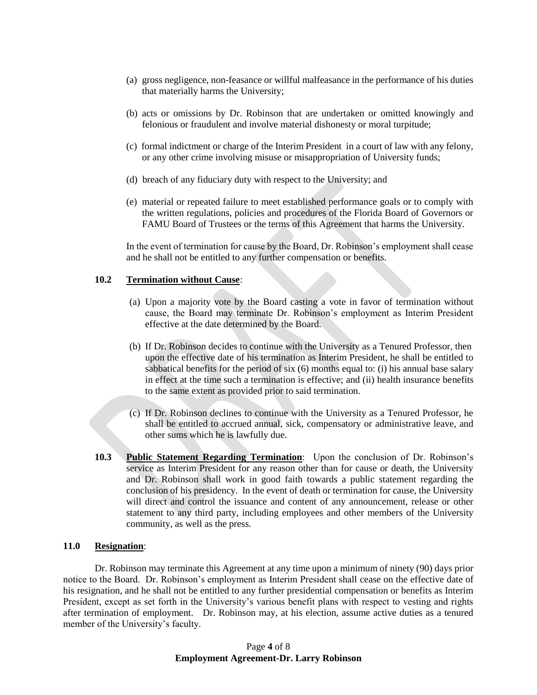- (a) gross negligence, non-feasance or willful malfeasance in the performance of his duties that materially harms the University;
- (b) acts or omissions by Dr. Robinson that are undertaken or omitted knowingly and felonious or fraudulent and involve material dishonesty or moral turpitude;
- (c) formal indictment or charge of the Interim President in a court of law with any felony, or any other crime involving misuse or misappropriation of University funds;
- (d) breach of any fiduciary duty with respect to the University; and
- (e) material or repeated failure to meet established performance goals or to comply with the written regulations, policies and procedures of the Florida Board of Governors or FAMU Board of Trustees or the terms of this Agreement that harms the University.

In the event of termination for cause by the Board, Dr. Robinson's employment shall cease and he shall not be entitled to any further compensation or benefits.

#### **10.2 Termination without Cause**:

- (a) Upon a majority vote by the Board casting a vote in favor of termination without cause, the Board may terminate Dr. Robinson's employment as Interim President effective at the date determined by the Board.
- (b) If Dr. Robinson decides to continue with the University as a Tenured Professor, then upon the effective date of his termination as Interim President, he shall be entitled to sabbatical benefits for the period of six (6) months equal to: (i) his annual base salary in effect at the time such a termination is effective; and (ii) health insurance benefits to the same extent as provided prior to said termination.
- (c) If Dr. Robinson declines to continue with the University as a Tenured Professor, he shall be entitled to accrued annual, sick, compensatory or administrative leave, and other sums which he is lawfully due.
- **10.3 Public Statement Regarding Termination**: Upon the conclusion of Dr. Robinson's service as Interim President for any reason other than for cause or death, the University and Dr. Robinson shall work in good faith towards a public statement regarding the conclusion of his presidency. In the event of death or termination for cause, the University will direct and control the issuance and content of any announcement, release or other statement to any third party, including employees and other members of the University community, as well as the press.

#### **11.0 Resignation**:

Dr. Robinson may terminate this Agreement at any time upon a minimum of ninety (90) days prior notice to the Board. Dr. Robinson's employment as Interim President shall cease on the effective date of his resignation, and he shall not be entitled to any further presidential compensation or benefits as Interim President, except as set forth in the University's various benefit plans with respect to vesting and rights after termination of employment. Dr. Robinson may, at his election, assume active duties as a tenured member of the University's faculty.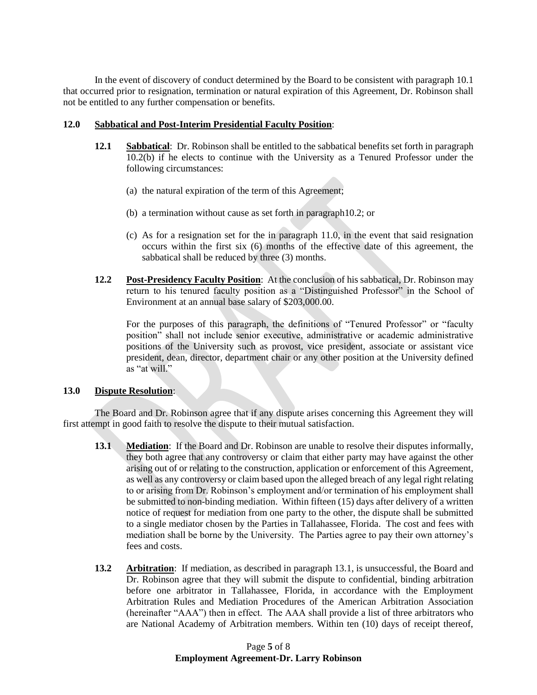In the event of discovery of conduct determined by the Board to be consistent with paragraph 10.1 that occurred prior to resignation, termination or natural expiration of this Agreement, Dr. Robinson shall not be entitled to any further compensation or benefits.

## **12.0 Sabbatical and Post-Interim Presidential Faculty Position**:

- **12.1 Sabbatical**: Dr. Robinson shall be entitled to the sabbatical benefits set forth in paragraph 10.2(b) if he elects to continue with the University as a Tenured Professor under the following circumstances:
	- (a) the natural expiration of the term of this Agreement;
	- (b) a termination without cause as set forth in paragraph10.2; or
	- (c) As for a resignation set for the in paragraph 11.0, in the event that said resignation occurs within the first six (6) months of the effective date of this agreement, the sabbatical shall be reduced by three (3) months.
- **12.2 Post-Presidency Faculty Position**: At the conclusion of his sabbatical, Dr. Robinson may return to his tenured faculty position as a "Distinguished Professor" in the School of Environment at an annual base salary of \$203,000.00.

For the purposes of this paragraph, the definitions of "Tenured Professor" or "faculty position" shall not include senior executive, administrative or academic administrative positions of the University such as provost, vice president, associate or assistant vice president, dean, director, department chair or any other position at the University defined as "at will."

## **13.0 Dispute Resolution**:

The Board and Dr. Robinson agree that if any dispute arises concerning this Agreement they will first attempt in good faith to resolve the dispute to their mutual satisfaction.

- **13.1 Mediation**: If the Board and Dr. Robinson are unable to resolve their disputes informally, they both agree that any controversy or claim that either party may have against the other arising out of or relating to the construction, application or enforcement of this Agreement, as well as any controversy or claim based upon the alleged breach of any legal right relating to or arising from Dr. Robinson's employment and/or termination of his employment shall be submitted to non-binding mediation. Within fifteen (15) days after delivery of a written notice of request for mediation from one party to the other, the dispute shall be submitted to a single mediator chosen by the Parties in Tallahassee, Florida. The cost and fees with mediation shall be borne by the University. The Parties agree to pay their own attorney's fees and costs.
- **13.2 Arbitration**: If mediation, as described in paragraph 13.1, is unsuccessful, the Board and Dr. Robinson agree that they will submit the dispute to confidential, binding arbitration before one arbitrator in Tallahassee, Florida, in accordance with the Employment Arbitration Rules and Mediation Procedures of the American Arbitration Association (hereinafter "AAA") then in effect. The AAA shall provide a list of three arbitrators who are National Academy of Arbitration members. Within ten (10) days of receipt thereof,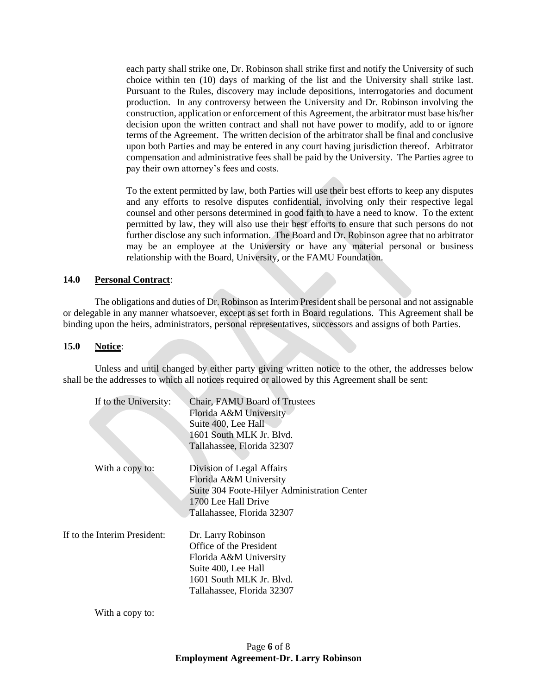each party shall strike one, Dr. Robinson shall strike first and notify the University of such choice within ten (10) days of marking of the list and the University shall strike last. Pursuant to the Rules, discovery may include depositions, interrogatories and document production. In any controversy between the University and Dr. Robinson involving the construction, application or enforcement of this Agreement, the arbitrator must base his/her decision upon the written contract and shall not have power to modify, add to or ignore terms of the Agreement. The written decision of the arbitrator shall be final and conclusive upon both Parties and may be entered in any court having jurisdiction thereof. Arbitrator compensation and administrative fees shall be paid by the University. The Parties agree to pay their own attorney's fees and costs.

To the extent permitted by law, both Parties will use their best efforts to keep any disputes and any efforts to resolve disputes confidential, involving only their respective legal counsel and other persons determined in good faith to have a need to know. To the extent permitted by law, they will also use their best efforts to ensure that such persons do not further disclose any such information. The Board and Dr. Robinson agree that no arbitrator may be an employee at the University or have any material personal or business relationship with the Board, University, or the FAMU Foundation.

## **14.0 Personal Contract**:

The obligations and duties of Dr. Robinson as Interim President shall be personal and not assignable or delegable in any manner whatsoever, except as set forth in Board regulations. This Agreement shall be binding upon the heirs, administrators, personal representatives, successors and assigns of both Parties.

#### **15.0 Notice**:

Unless and until changed by either party giving written notice to the other, the addresses below shall be the addresses to which all notices required or allowed by this Agreement shall be sent:

| If to the University:        | Chair, FAMU Board of Trustees<br>Florida A&M University<br>Suite 400, Lee Hall<br>1601 South MLK Jr. Blvd.                                               |
|------------------------------|----------------------------------------------------------------------------------------------------------------------------------------------------------|
|                              | Tallahassee, Florida 32307                                                                                                                               |
| With a copy to:              | Division of Legal Affairs<br>Florida A&M University<br>Suite 304 Foote-Hilyer Administration Center<br>1700 Lee Hall Drive<br>Tallahassee, Florida 32307 |
| If to the Interim President: | Dr. Larry Robinson<br>Office of the President<br>Florida A&M University<br>Suite 400, Lee Hall<br>1601 South MLK Jr. Blvd.<br>Tallahassee, Florida 32307 |

With a copy to: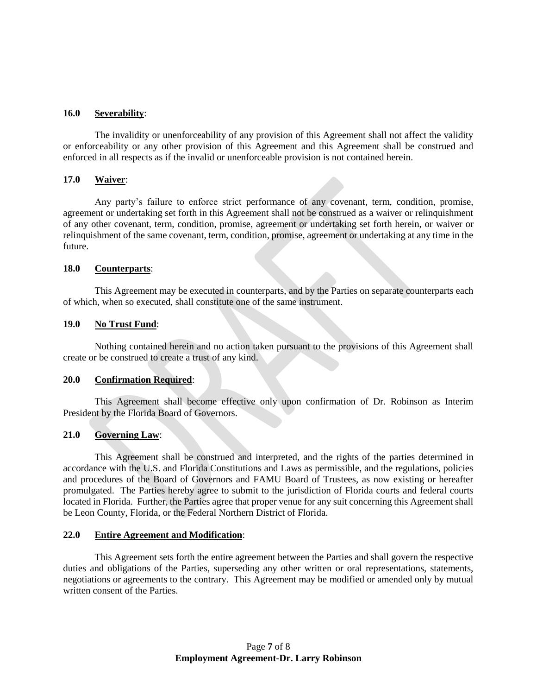#### **16.0 Severability**:

The invalidity or unenforceability of any provision of this Agreement shall not affect the validity or enforceability or any other provision of this Agreement and this Agreement shall be construed and enforced in all respects as if the invalid or unenforceable provision is not contained herein.

#### **17.0 Waiver**:

Any party's failure to enforce strict performance of any covenant, term, condition, promise, agreement or undertaking set forth in this Agreement shall not be construed as a waiver or relinquishment of any other covenant, term, condition, promise, agreement or undertaking set forth herein, or waiver or relinquishment of the same covenant, term, condition, promise, agreement or undertaking at any time in the future.

#### **18.0 Counterparts**:

This Agreement may be executed in counterparts, and by the Parties on separate counterparts each of which, when so executed, shall constitute one of the same instrument.

#### **19.0 No Trust Fund**:

Nothing contained herein and no action taken pursuant to the provisions of this Agreement shall create or be construed to create a trust of any kind.

#### **20.0 Confirmation Required**:

This Agreement shall become effective only upon confirmation of Dr. Robinson as Interim President by the Florida Board of Governors.

#### **21.0 Governing Law**:

This Agreement shall be construed and interpreted, and the rights of the parties determined in accordance with the U.S. and Florida Constitutions and Laws as permissible, and the regulations, policies and procedures of the Board of Governors and FAMU Board of Trustees, as now existing or hereafter promulgated. The Parties hereby agree to submit to the jurisdiction of Florida courts and federal courts located in Florida. Further, the Parties agree that proper venue for any suit concerning this Agreement shall be Leon County, Florida, or the Federal Northern District of Florida.

#### **22.0 Entire Agreement and Modification**:

This Agreement sets forth the entire agreement between the Parties and shall govern the respective duties and obligations of the Parties, superseding any other written or oral representations, statements, negotiations or agreements to the contrary. This Agreement may be modified or amended only by mutual written consent of the Parties.